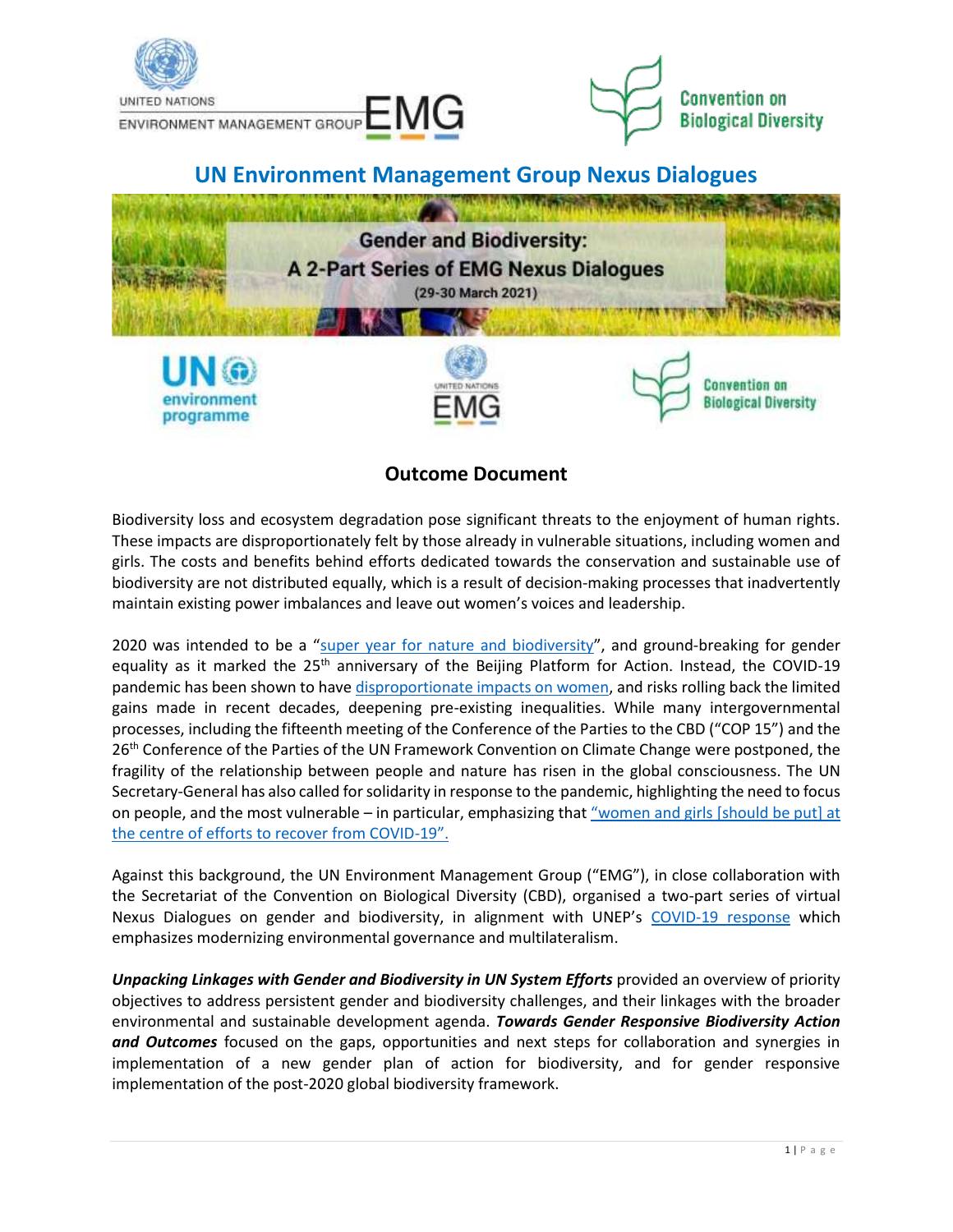

# **Outcome Document**

Biodiversity loss and ecosystem degradation pose significant threats to the enjoyment of human rights. These impacts are disproportionately felt by those already in vulnerable situations, including women and girls. The costs and benefits behind efforts dedicated towards the conservation and sustainable use of biodiversity are not distributed equally, which is a result of decision-making processes that inadvertently maintain existing power imbalances and leave out women's voices and leadership.

2020 was intended to be a "[super year for nature and biodiversity](https://www.unenvironment.org/news-and-stories/news/spotlight-nature-and-biodiversity)", and ground-breaking for gender equality as it marked the 25<sup>th</sup> anniversary of the Beijing Platform for Action. Instead, the COVID-19 pandemic has been shown to hav[e disproportionate impacts on women,](https://www.unwomen.org/-/media/headquarters/attachments/sections/library/publications/2020/policy-brief-the-impact-of-covid-19-on-women-en.pdf?la=en&vs=1406) and risks rolling back the limited gains made in recent decades, deepening pre-existing inequalities. While many intergovernmental processes, including the fifteenth meeting of the Conference of the Parties to the CBD ("COP 15") and the 26<sup>th</sup> Conference of the Parties of the UN Framework Convention on Climate Change were postponed, the fragility of the relationship between people and nature has risen in the global consciousness. The UN Secretary-General has also called for solidarity in response to the pandemic, highlighting the need to focus on people, and the most vulnerable – in particular, emphasizing that ["women and girls \[should be put\] at](https://www.unwomen.org/en/news/stories/2020/4/statement-sg-put-women-and-girls-at-the-centre-of-efforts-to-recover-from-covid19)  [the centre of efforts to recover from COVID-](https://www.unwomen.org/en/news/stories/2020/4/statement-sg-put-women-and-girls-at-the-centre-of-efforts-to-recover-from-covid19)19".

Against this background, the UN Environment Management Group ("EMG"), in close collaboration with the Secretariat of the Convention on Biological Diversity (CBD), organised a two-part series of virtual Nexus Dialogues on gender and biodiversity, in alignment with UNEP's [COVID-19 response](https://wedocs.unep.org/bitstream/handle/20.500.11822/32218/UNEP_COVID.pdf?sequence=1&isAllowed=y) which emphasizes modernizing environmental governance and multilateralism.

*Unpacking Linkages with Gender and Biodiversity in UN System Efforts* provided an overview of priority objectives to address persistent gender and biodiversity challenges, and their linkages with the broader environmental and sustainable development agenda. *Towards Gender Responsive Biodiversity Action and Outcomes* focused on the gaps, opportunities and next steps for collaboration and synergies in implementation of a new gender plan of action for biodiversity, and for gender responsive implementation of the post-2020 global biodiversity framework.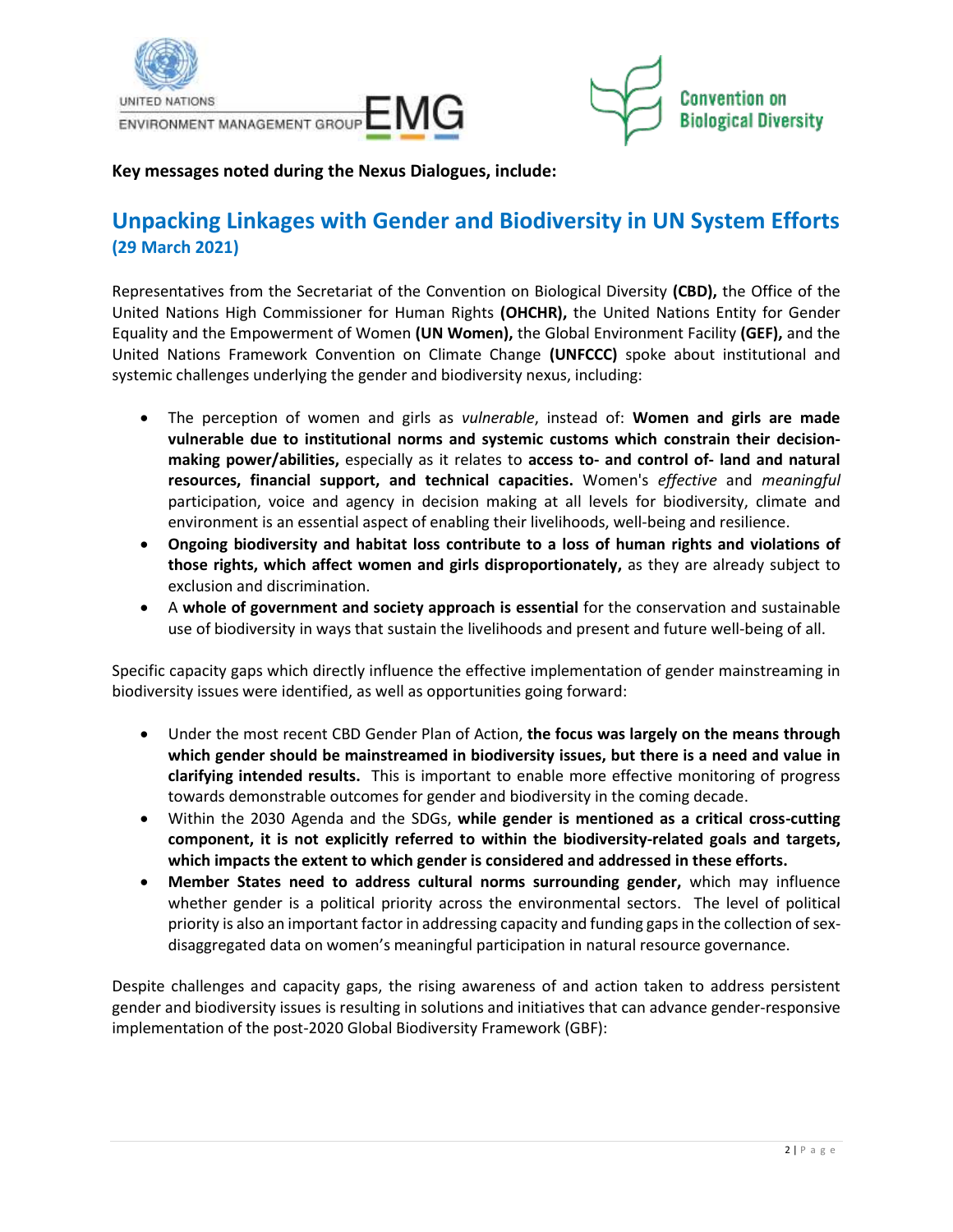



## **Key messages noted during the Nexus Dialogues, include:**

# **Unpacking Linkages with Gender and Biodiversity in UN System Efforts (29 March 2021)**

Representatives from the Secretariat of the Convention on Biological Diversity **(CBD),** the Office of the United Nations High Commissioner for Human Rights **(OHCHR),** the United Nations Entity for Gender Equality and the Empowerment of Women **(UN Women),** the Global Environment Facility **(GEF),** and the United Nations Framework Convention on Climate Change **(UNFCCC)** spoke about institutional and systemic challenges underlying the gender and biodiversity nexus, including:

- The perception of women and girls as *vulnerable*, instead of: **Women and girls are made vulnerable due to institutional norms and systemic customs which constrain their decisionmaking power/abilities,** especially as it relates to **access to- and control of- land and natural resources, financial support, and technical capacities.** Women's *effective* and *meaningful* participation, voice and agency in decision making at all levels for biodiversity, climate and environment is an essential aspect of enabling their livelihoods, well-being and resilience.
- **Ongoing biodiversity and habitat loss contribute to a loss of human rights and violations of those rights, which affect women and girls disproportionately,** as they are already subject to exclusion and discrimination.
- A **whole of government and society approach is essential** for the conservation and sustainable use of biodiversity in ways that sustain the livelihoods and present and future well-being of all.

Specific capacity gaps which directly influence the effective implementation of gender mainstreaming in biodiversity issues were identified, as well as opportunities going forward:

- Under the most recent CBD Gender Plan of Action, **the focus was largely on the means through which gender should be mainstreamed in biodiversity issues, but there is a need and value in clarifying intended results.** This is important to enable more effective monitoring of progress towards demonstrable outcomes for gender and biodiversity in the coming decade.
- Within the 2030 Agenda and the SDGs, **while gender is mentioned as a critical cross-cutting component, it is not explicitly referred to within the biodiversity-related goals and targets, which impacts the extent to which gender is considered and addressed in these efforts.**
- **Member States need to address cultural norms surrounding gender,** which may influence whether gender is a political priority across the environmental sectors. The level of political priority is also an important factor in addressing capacity and funding gaps in the collection of sexdisaggregated data on women's meaningful participation in natural resource governance.

Despite challenges and capacity gaps, the rising awareness of and action taken to address persistent gender and biodiversity issues is resulting in solutions and initiatives that can advance gender-responsive implementation of the post-2020 Global Biodiversity Framework (GBF):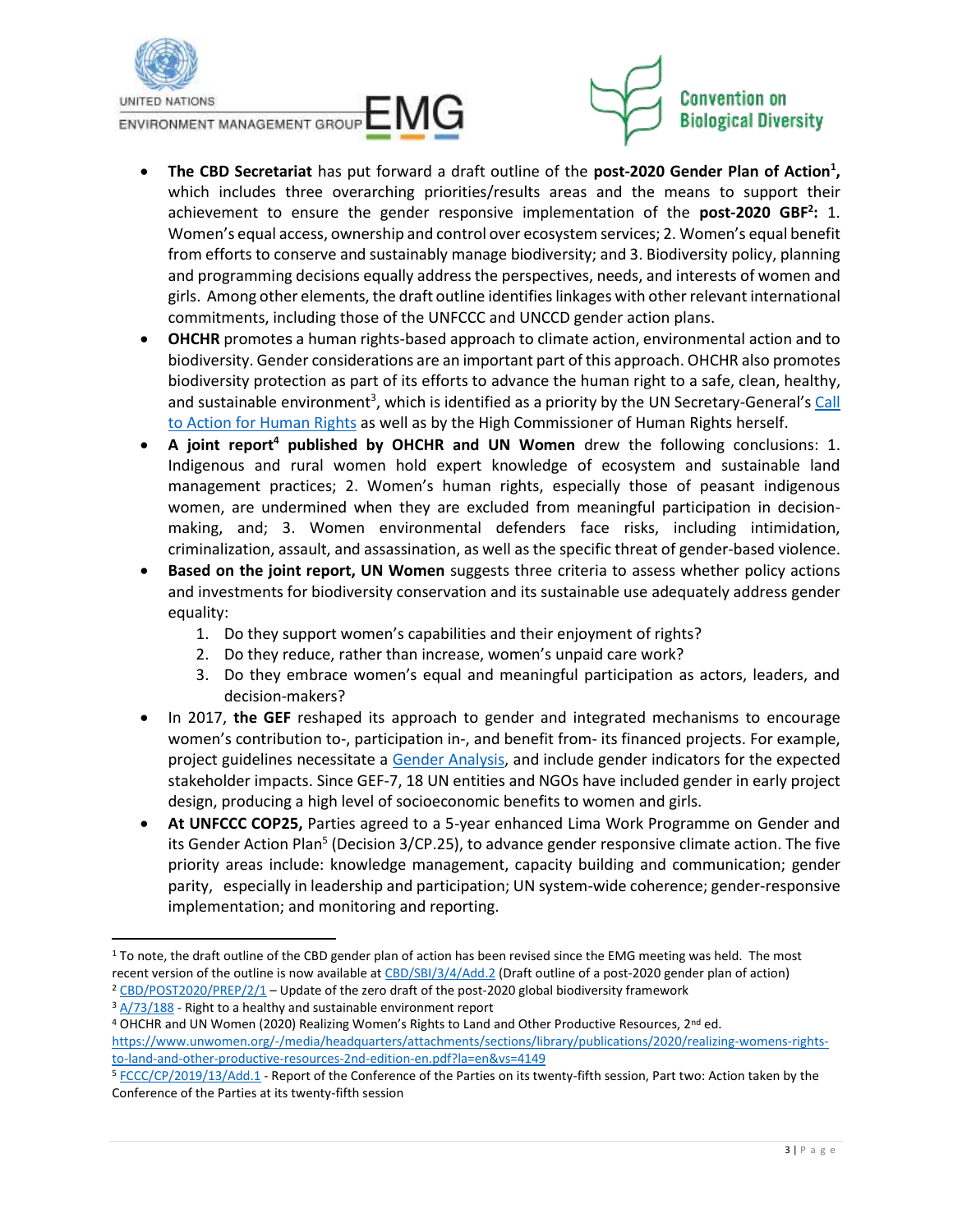

ENVIRONMENT MANAGEMENT GROUP EMMITED



- **The CBD Secretariat** has put forward a draft outline of the **post-2020 Gender Plan of Action<sup>1</sup> ,** which includes three overarching priorities/results areas and the means to support their achievement to ensure the gender responsive implementation of the **post-2020 GBF<sup>2</sup> :** 1. Women's equal access, ownership and control over ecosystem services; 2. Women's equal benefit from efforts to conserve and sustainably manage biodiversity; and 3. Biodiversity policy, planning and programming decisions equally address the perspectives, needs, and interests of women and girls. Among other elements, the draft outline identifieslinkages with other relevant international commitments, including those of the UNFCCC and UNCCD gender action plans.
- **OHCHR** promotes a human rights-based approach to climate action, environmental action and to biodiversity. Gender considerations are an important part of this approach. OHCHR also promotes biodiversity protection as part of its efforts to advance the human right to a safe, clean, healthy, and sustainable environment<sup>3</sup>, which is identified as a priority by the UN Secretary-General's Call to Action for [Human Rights](https://www.un.org/sg/sites/www.un.org.sg/files/atoms/files/The_Highest_Asperation_A_Call_To_Action_For_Human_Right_English.pdf) as well as by the High Commissioner of Human Rights herself.
- **A joint report<sup>4</sup> published by OHCHR and UN Women** drew the following conclusions: 1. Indigenous and rural women hold expert knowledge of ecosystem and sustainable land management practices; 2. Women's human rights, especially those of peasant indigenous women, are undermined when they are excluded from meaningful participation in decisionmaking, and; 3. Women environmental defenders face risks, including intimidation, criminalization, assault, and assassination, as well as the specific threat of gender-based violence.
- **Based on the joint report, UN Women** suggests three criteria to assess whether policy actions and investments for biodiversity conservation and its sustainable use adequately address gender equality:
	- 1. Do they support women's capabilities and their enjoyment of rights?
	- 2. Do they reduce, rather than increase, women's unpaid care work?
	- 3. Do they embrace women's equal and meaningful participation as actors, leaders, and decision-makers?
- In 2017, **the GEF** reshaped its approach to gender and integrated mechanisms to encourage women's contribution to-, participation in-, and benefit from- its financed projects. For example, project guidelines necessitate a [Gender Analysis,](https://wwfgeftracks.com/consult-refine/conduct-gender-analysis#:~:text=The%20main%20objective%20of%20a,in%20environmental%20planning%20and%20governance) and include gender indicators for the expected stakeholder impacts. Since GEF-7, 18 UN entities and NGOs have included gender in early project design, producing a high level of socioeconomic benefits to women and girls.
- **At UNFCCC COP25,** Parties agreed to a 5-year enhanced Lima Work Programme on Gender and its Gender Action Plan<sup>5</sup> (Decision 3/CP.25), to advance gender responsive climate action. The five priority areas include: knowledge management, capacity building and communication; gender parity, especially in leadership and participation; UN system-wide coherence; gender-responsive implementation; and monitoring and reporting.

 $1$  To note, the draft outline of the CBD gender plan of action has been revised since the EMG meeting was held. The most recent version of the outline is now available a[t CBD/SBI/3/4/Add.2](https://www.cbd.int/doc/c/1037/0c47/974ee71c8778acceb3813a95/sbi-03-04-add2-en.pdf) (Draft outline of a post-2020 gender plan of action)  $2$  [CBD/POST2020/PREP/2/1](https://www.cbd.int/doc/c/3064/749a/0f65ac7f9def86707f4eaefa/post2020-prep-02-01-en.pdf) – Update of the zero draft of the post-2020 global biodiversity framework

<sup>&</sup>lt;sup>3</sup> [A/73/188](https://undocs.org/A/73/188) - Right to a healthy and sustainable environment report

<sup>4</sup> OHCHR and UN Women (2020) Realizing Women's Rights to Land and Other Productive Resources, 2<sup>nd</sup> ed. [https://www.unwomen.org/-/media/headquarters/attachments/sections/library/publications/2020/realizing-womens-rights](https://www.unwomen.org/-/media/headquarters/attachments/sections/library/publications/2020/realizing-womens-rights-to-land-and-other-productive-resources-2nd-edition-en.pdf?la=en&vs=4149)[to-land-and-other-productive-resources-2nd-edition-en.pdf?la=en&vs=4149](https://www.unwomen.org/-/media/headquarters/attachments/sections/library/publications/2020/realizing-womens-rights-to-land-and-other-productive-resources-2nd-edition-en.pdf?la=en&vs=4149)

<sup>5</sup> [FCCC/CP/2019/13/Add.1](https://unfccc.int/sites/default/files/resource/cp2019_13a01E.pdf) - Report of the Conference of the Parties on its twenty-fifth session, Part two: Action taken by the Conference of the Parties at its twenty-fifth session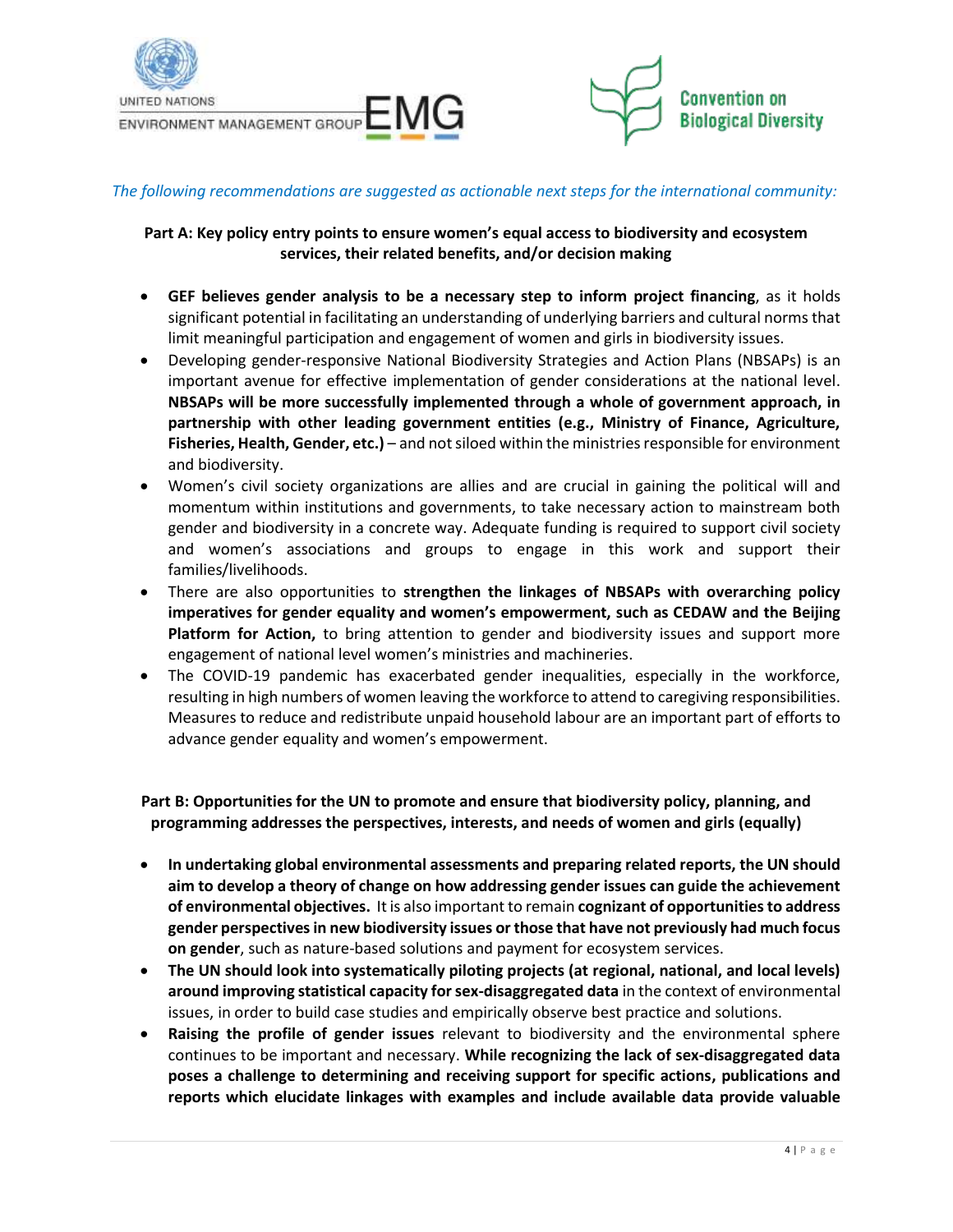



#### *The following recommendations are suggested as actionable next steps for the international community:*

#### **Part A: Key policy entry points to ensure women's equal access to biodiversity and ecosystem services, their related benefits, and/or decision making**

- **GEF believes gender analysis to be a necessary step to inform project financing**, as it holds significant potential in facilitating an understanding of underlying barriers and cultural norms that limit meaningful participation and engagement of women and girls in biodiversity issues.
- Developing gender-responsive National Biodiversity Strategies and Action Plans (NBSAPs) is an important avenue for effective implementation of gender considerations at the national level. **NBSAPs will be more successfully implemented through a whole of government approach, in partnership with other leading government entities (e.g., Ministry of Finance, Agriculture, Fisheries, Health, Gender, etc.)** – and not siloed within the ministries responsible for environment and biodiversity.
- Women's civil society organizations are allies and are crucial in gaining the political will and momentum within institutions and governments, to take necessary action to mainstream both gender and biodiversity in a concrete way. Adequate funding is required to support civil society and women's associations and groups to engage in this work and support their families/livelihoods.
- There are also opportunities to **strengthen the linkages of NBSAPs with overarching policy imperatives for gender equality and women's empowerment, such as CEDAW and the Beijing Platform for Action,** to bring attention to gender and biodiversity issues and support more engagement of national level women's ministries and machineries.
- The COVID-19 pandemic has exacerbated gender inequalities, especially in the workforce, resulting in high numbers of women leaving the workforce to attend to caregiving responsibilities. Measures to reduce and redistribute unpaid household labour are an important part of efforts to advance gender equality and women's empowerment.

**Part B: Opportunities for the UN to promote and ensure that biodiversity policy, planning, and programming addresses the perspectives, interests, and needs of women and girls (equally)**

- **In undertaking global environmental assessments and preparing related reports, the UN should aim to develop a theory of change on how addressing gender issues can guide the achievement of environmental objectives.** It is also important to remain **cognizant of opportunitiesto address gender perspectives in new biodiversity issues or those that have not previously had much focus on gender**, such as nature-based solutions and payment for ecosystem services.
- **The UN should look into systematically piloting projects (at regional, national, and local levels) around improving statistical capacity for sex-disaggregated data** in the context of environmental issues, in order to build case studies and empirically observe best practice and solutions.
- **Raising the profile of gender issues** relevant to biodiversity and the environmental sphere continues to be important and necessary. **While recognizing the lack of sex-disaggregated data poses a challenge to determining and receiving support for specific actions, publications and reports which elucidate linkages with examples and include available data provide valuable**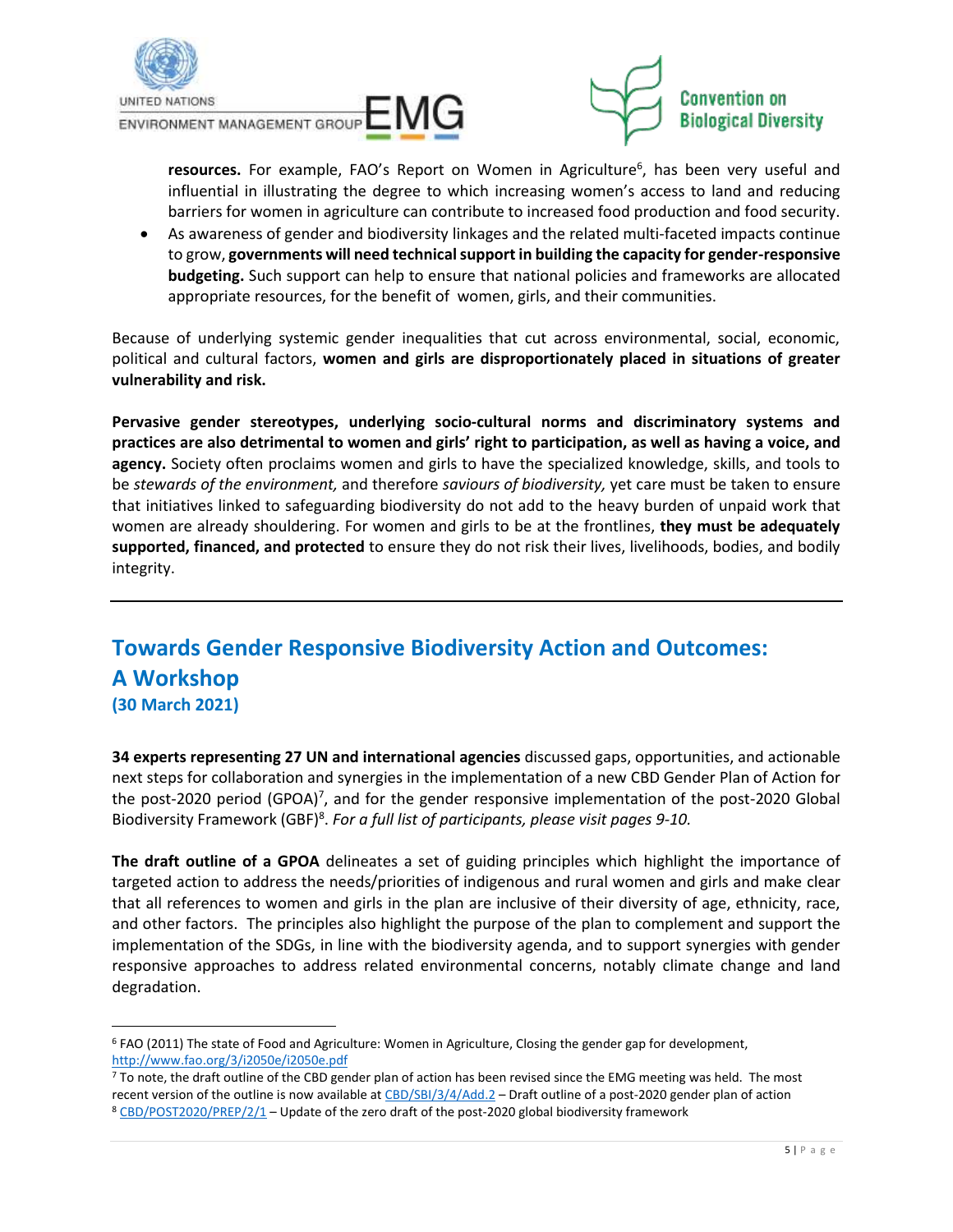

ENVIRONMENT MANAGEMENT GROUP EMILED



resources. For example, FAO's Report on Women in Agriculture<sup>6</sup>, has been very useful and influential in illustrating the degree to which increasing women's access to land and reducing barriers for women in agriculture can contribute to increased food production and food security.

• As awareness of gender and biodiversity linkages and the related multi-faceted impacts continue to grow, **governments will need technical support in building the capacity for gender-responsive budgeting.** Such support can help to ensure that national policies and frameworks are allocated appropriate resources, for the benefit of women, girls, and their communities.

Because of underlying systemic gender inequalities that cut across environmental, social, economic, political and cultural factors, **women and girls are disproportionately placed in situations of greater vulnerability and risk.** 

**Pervasive gender stereotypes, underlying socio-cultural norms and discriminatory systems and practices are also detrimental to women and girls' right to participation, as well as having a voice, and agency.** Society often proclaims women and girls to have the specialized knowledge, skills, and tools to be *stewards of the environment,* and therefore *saviours of biodiversity,* yet care must be taken to ensure that initiatives linked to safeguarding biodiversity do not add to the heavy burden of unpaid work that women are already shouldering. For women and girls to be at the frontlines, **they must be adequately supported, financed, and protected** to ensure they do not risk their lives, livelihoods, bodies, and bodily integrity.

# **Towards Gender Responsive Biodiversity Action and Outcomes: A Workshop (30 March 2021)**

**34 experts representing 27 UN and international agencies** discussed gaps, opportunities, and actionable next steps for collaboration and synergies in the implementation of a new CBD Gender Plan of Action for the post-2020 period (GPOA)<sup>7</sup>, and for the gender responsive implementation of the post-2020 Global Biodiversity Framework (GBF)<sup>8</sup> . *For a full list of participants, please visit pages 9-10.*

**The draft outline of a GPOA** delineates a set of guiding principles which highlight the importance of targeted action to address the needs/priorities of indigenous and rural women and girls and make clear that all references to women and girls in the plan are inclusive of their diversity of age, ethnicity, race, and other factors. The principles also highlight the purpose of the plan to complement and support the implementation of the SDGs, in line with the biodiversity agenda, and to support synergies with gender responsive approaches to address related environmental concerns, notably climate change and land degradation.

<sup>6</sup> FAO (2011) The state of Food and Agriculture: Women in Agriculture, Closing the gender gap for development, <http://www.fao.org/3/i2050e/i2050e.pdf>

<sup>7</sup> To note, the draft outline of the CBD gender plan of action has been revised since the EMG meeting was held. The most recent version of the outline is now available a[t CBD/SBI/3/4/Add.2](https://www.cbd.int/doc/c/1037/0c47/974ee71c8778acceb3813a95/sbi-03-04-add2-en.pdf) - Draft outline of a post-2020 gender plan of action <sup>8</sup> [CBD/POST2020/PREP/2/1](https://www.cbd.int/doc/c/3064/749a/0f65ac7f9def86707f4eaefa/post2020-prep-02-01-en.pdf) – Update of the zero draft of the post-2020 global biodiversity framework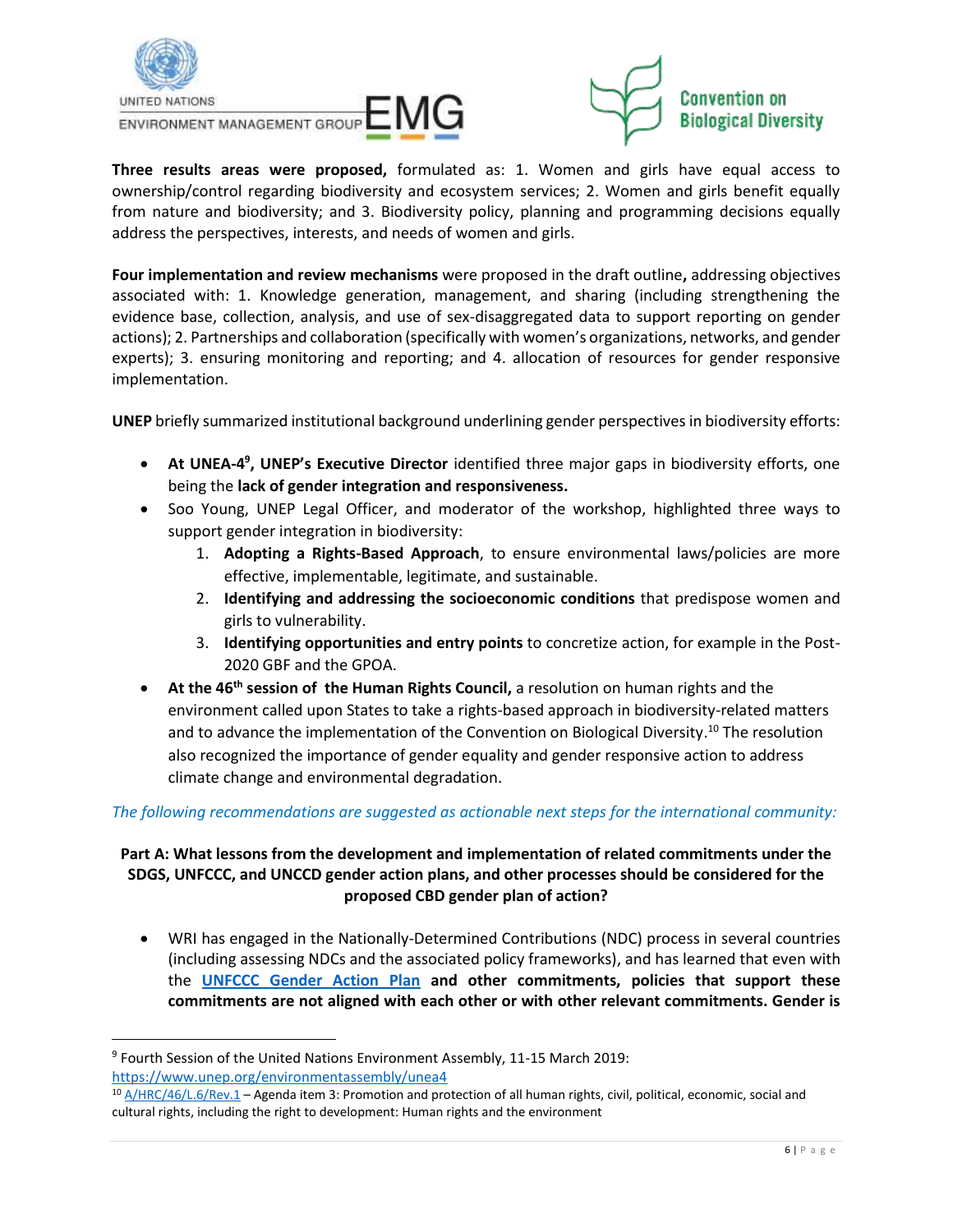



**Three results areas were proposed,** formulated as: 1. Women and girls have equal access to ownership/control regarding biodiversity and ecosystem services; 2. Women and girls benefit equally from nature and biodiversity; and 3. Biodiversity policy, planning and programming decisions equally address the perspectives, interests, and needs of women and girls.

**Four implementation and review mechanisms** were proposed in the draft outline**,** addressing objectives associated with: 1. Knowledge generation, management, and sharing (including strengthening the evidence base, collection, analysis, and use of sex-disaggregated data to support reporting on gender actions); 2. Partnerships and collaboration (specifically with women's organizations, networks, and gender experts); 3. ensuring monitoring and reporting; and 4. allocation of resources for gender responsive implementation.

**UNEP** briefly summarized institutional background underlining gender perspectives in biodiversity efforts:

- **At UNEA-4<sup>9</sup>, UNEP's Executive Director** identified three major gaps in biodiversity efforts, one being the **lack of gender integration and responsiveness.**
- Soo Young, UNEP Legal Officer, and moderator of the workshop, highlighted three ways to support gender integration in biodiversity:
	- 1. **Adopting a Rights-Based Approach**, to ensure environmental laws/policies are more effective, implementable, legitimate, and sustainable.
	- 2. **Identifying and addressing the socioeconomic conditions** that predispose women and girls to vulnerability.
	- 3. **Identifying opportunities and entry points** to concretize action, for example in the Post-2020 GBF and the GPOA.
- **At the 46th session of the Human Rights Council,** a resolution on human rights and the environment called upon States to take a rights-based approach in biodiversity-related matters and to advance the implementation of the Convention on Biological Diversity.<sup>10</sup> The resolution also recognized the importance of gender equality and gender responsive action to address climate change and environmental degradation.

## *The following recommendations are suggested as actionable next steps for the international community:*

## **Part A: What lessons from the development and implementation of related commitments under the SDGS, UNFCCC, and UNCCD gender action plans, and other processes should be considered for the proposed CBD gender plan of action?**

• WRI has engaged in the Nationally-Determined Contributions (NDC) process in several countries (including assessing NDCs and the associated policy frameworks), and has learned that even with the **UNFCCC [Gender Action Plan](https://unfccc.int/topics/gender/workstreams/the-gender-action-plan) and other commitments, policies that support these commitments are not aligned with each other or with other relevant commitments. Gender is**

<sup>9</sup> Fourth Session of the United Nations Environment Assembly, 11-15 March 2019: <https://www.unep.org/environmentassembly/unea4>

<sup>10</sup> [A/HRC/46/L.6/Rev.1](https://documents-dds-ny.un.org/doc/UNDOC/LTD/G21/065/30/PDF/G2106530.pdf?OpenElement) – Agenda item 3: Promotion and protection of all human rights, civil, political, economic, social and cultural rights, including the right to development: Human rights and the environment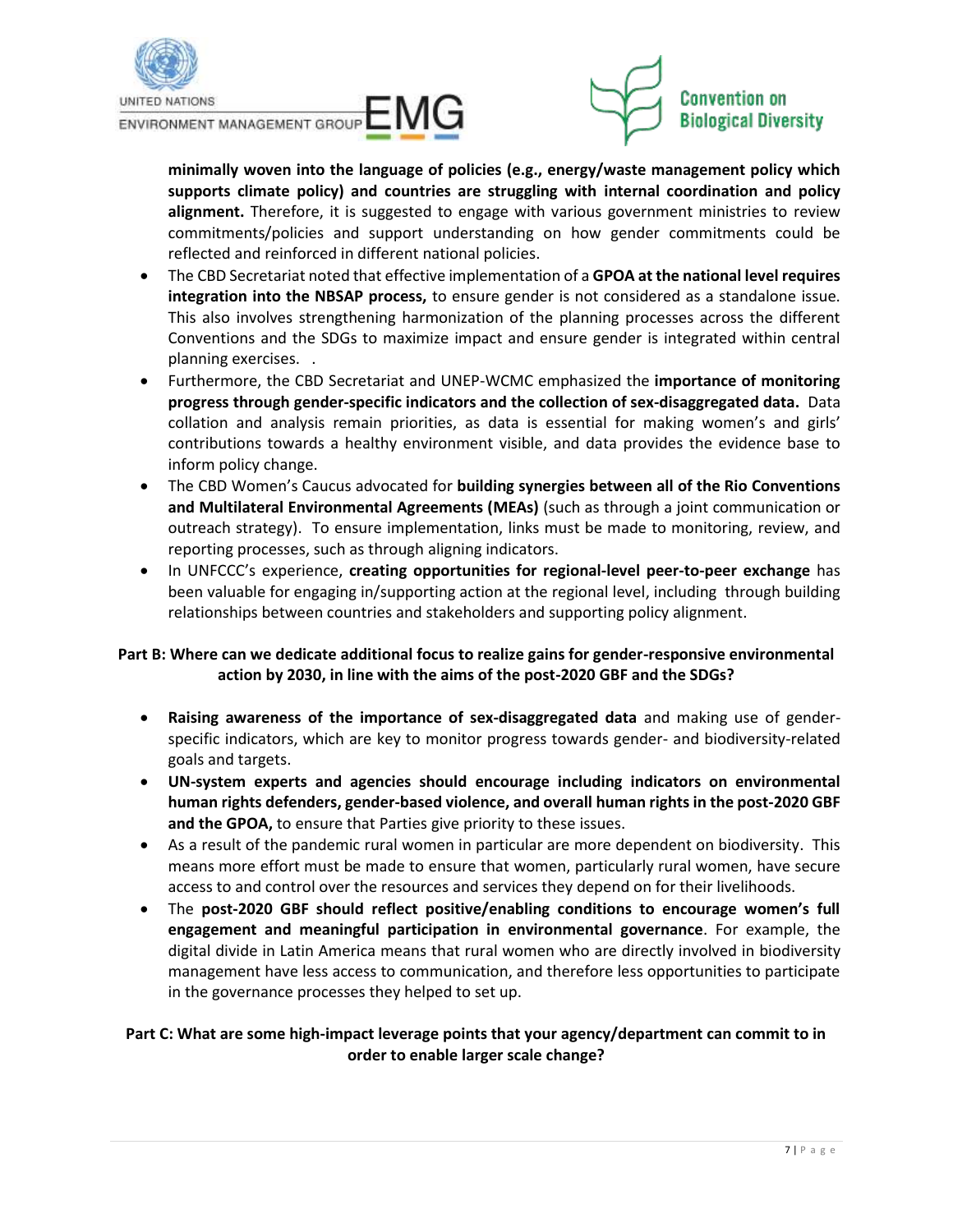





**minimally woven into the language of policies (e.g., energy/waste management policy which supports climate policy) and countries are struggling with internal coordination and policy alignment.** Therefore, it is suggested to engage with various government ministries to review commitments/policies and support understanding on how gender commitments could be reflected and reinforced in different national policies.

- The CBD Secretariat noted that effective implementation of a **GPOA at the national level requires integration into the NBSAP process,** to ensure gender is not considered as a standalone issue. This also involves strengthening harmonization of the planning processes across the different Conventions and the SDGs to maximize impact and ensure gender is integrated within central planning exercises. .
- Furthermore, the CBD Secretariat and UNEP-WCMC emphasized the **importance of monitoring progress through gender-specific indicators and the collection of sex-disaggregated data.** Data collation and analysis remain priorities, as data is essential for making women's and girls' contributions towards a healthy environment visible, and data provides the evidence base to inform policy change.
- The CBD Women's Caucus advocated for **building synergies between all of the Rio Conventions and Multilateral Environmental Agreements (MEAs)** (such as through a joint communication or outreach strategy).To ensure implementation, links must be made to monitoring, review, and reporting processes, such as through aligning indicators.
- In UNFCCC's experience, **creating opportunities for regional-level peer-to-peer exchange** has been valuable for engaging in/supporting action at the regional level, including through building relationships between countries and stakeholders and supporting policy alignment.

## **Part B: Where can we dedicate additional focus to realize gains for gender-responsive environmental action by 2030, in line with the aims of the post-2020 GBF and the SDGs?**

- **Raising awareness of the importance of sex-disaggregated data** and making use of genderspecific indicators, which are key to monitor progress towards gender- and biodiversity-related goals and targets.
- **UN-system experts and agencies should encourage including indicators on environmental human rights defenders, gender-based violence, and overall human rights in the post-2020 GBF and the GPOA,** to ensure that Parties give priority to these issues.
- As a result of the pandemic rural women in particular are more dependent on biodiversity. This means more effort must be made to ensure that women, particularly rural women, have secure access to and control over the resources and services they depend on for their livelihoods.
- The **post-2020 GBF should reflect positive/enabling conditions to encourage women's full engagement and meaningful participation in environmental governance**. For example, the digital divide in Latin America means that rural women who are directly involved in biodiversity management have less access to communication, and therefore less opportunities to participate in the governance processes they helped to set up.

## **Part C: What are some high-impact leverage points that your agency/department can commit to in order to enable larger scale change?**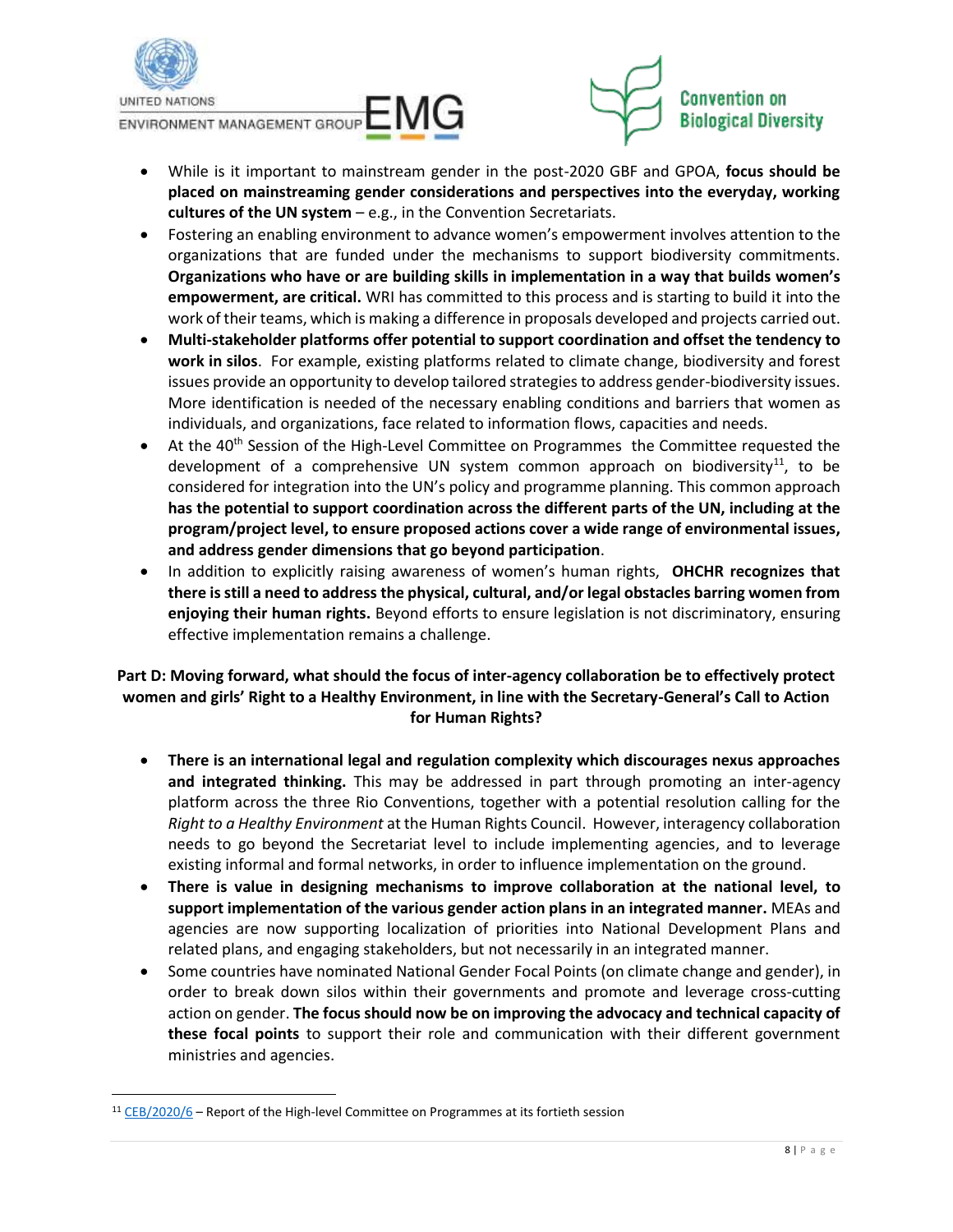





- While is it important to mainstream gender in the post-2020 GBF and GPOA, **focus should be placed on mainstreaming gender considerations and perspectives into the everyday, working cultures of the UN system** – e.g., in the Convention Secretariats.
- Fostering an enabling environment to advance women's empowerment involves attention to the organizations that are funded under the mechanisms to support biodiversity commitments. **Organizations who have or are building skills in implementation in a way that builds women's empowerment, are critical.** WRI has committed to this process and is starting to build it into the work of their teams, which is making a difference in proposals developed and projects carried out.
- **Multi-stakeholder platforms offer potential to support coordination and offset the tendency to work in silos**. For example, existing platforms related to climate change, biodiversity and forest issues provide an opportunity to develop tailored strategies to address gender-biodiversity issues. More identification is needed of the necessary enabling conditions and barriers that women as individuals, and organizations, face related to information flows, capacities and needs.
- At the 40<sup>th</sup> Session of the High-Level Committee on Programmes the Committee requested the development of a comprehensive UN system common approach on biodiversity<sup>11</sup>, to be considered for integration into the UN's policy and programme planning. This common approach **has the potential to support coordination across the different parts of the UN, including at the program/project level, to ensure proposed actions cover a wide range of environmental issues, and address gender dimensions that go beyond participation**.
- In addition to explicitly raising awareness of women's human rights, **OHCHR recognizes that there is still a need to address the physical, cultural, and/or legal obstacles barring women from enjoying their human rights.** Beyond efforts to ensure legislation is not discriminatory, ensuring effective implementation remains a challenge.

# **Part D: Moving forward, what should the focus of inter-agency collaboration be to effectively protect women and girls' Right to a Healthy Environment, in line with the Secretary-General's Call to Action for Human Rights?**

- **There is an international legal and regulation complexity which discourages nexus approaches and integrated thinking.** This may be addressed in part through promoting an inter-agency platform across the three Rio Conventions, together with a potential resolution calling for the *Right to a Healthy Environment* at the Human Rights Council. However, interagency collaboration needs to go beyond the Secretariat level to include implementing agencies, and to leverage existing informal and formal networks, in order to influence implementation on the ground.
- **There is value in designing mechanisms to improve collaboration at the national level, to support implementation of the various gender action plans in an integrated manner.** MEAs and agencies are now supporting localization of priorities into National Development Plans and related plans, and engaging stakeholders, but not necessarily in an integrated manner.
- Some countries have nominated National Gender Focal Points (on climate change and gender), in order to break down silos within their governments and promote and leverage cross-cutting action on gender. **The focus should now be on improving the advocacy and technical capacity of these focal points** to support their role and communication with their different government ministries and agencies.

 $11$  [CEB/2020/6](https://unsceb.org/sites/default/files/2020-12/CEB_2020_6_E.pdf) – Report of the High-level Committee on Programmes at its fortieth session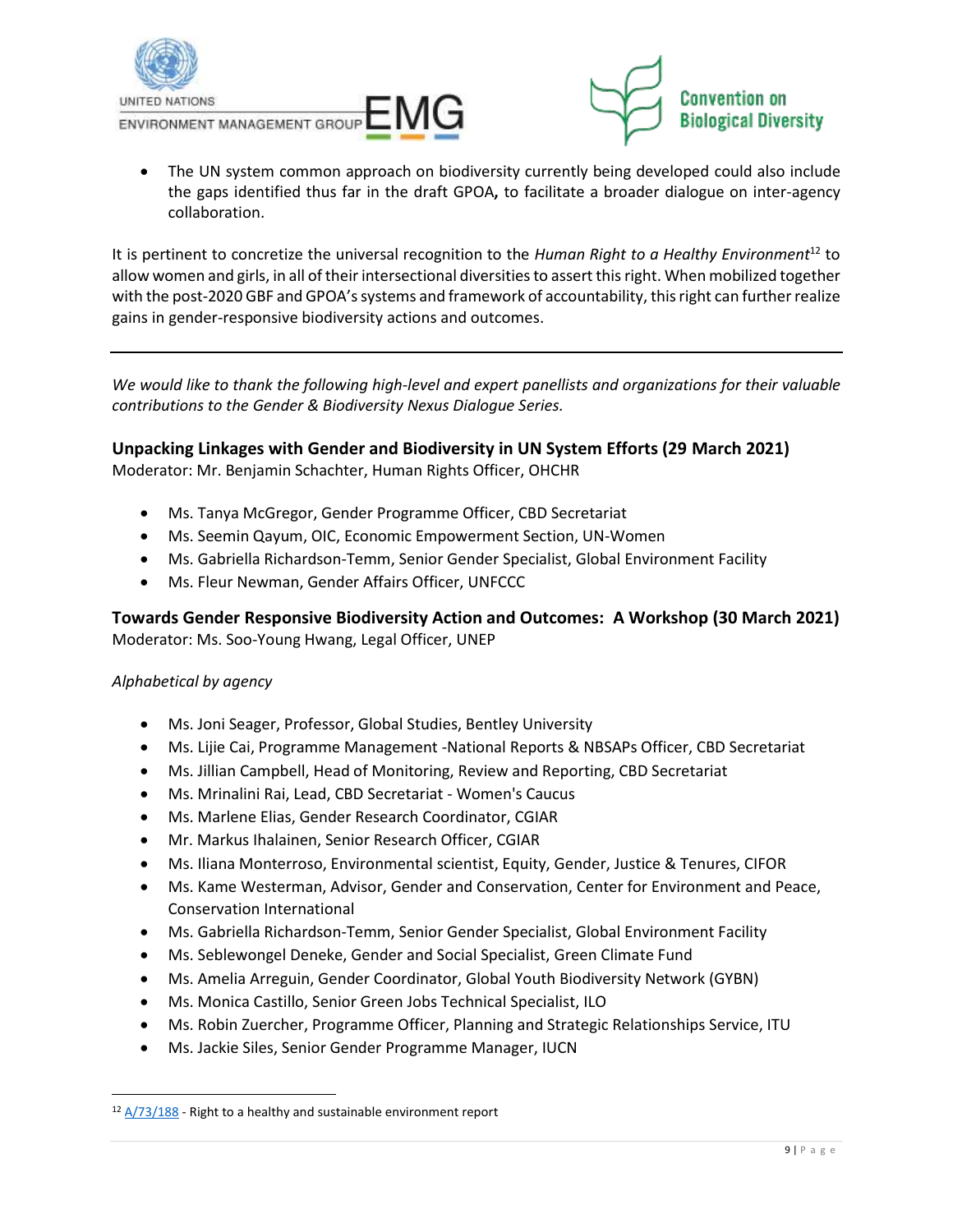





• The UN system common approach on biodiversity currently being developed could also include the gaps identified thus far in the draft GPOA**,** to facilitate a broader dialogue on inter-agency collaboration.

It is pertinent to concretize the universal recognition to the *Human Right to a Healthy Environment*<sup>12</sup> to allow women and girls, in all of their intersectional diversities to assert this right. When mobilized together with the post-2020 GBF and GPOA's systems and framework of accountability, this right can further realize gains in gender-responsive biodiversity actions and outcomes.

*We would like to thank the following high-level and expert panellists and organizations for their valuable contributions to the Gender & Biodiversity Nexus Dialogue Series.* 

# **Unpacking Linkages with Gender and Biodiversity in UN System Efforts (29 March 2021)**

Moderator: Mr. Benjamin Schachter, Human Rights Officer, OHCHR

- Ms. Tanya McGregor, Gender Programme Officer, CBD Secretariat
- Ms. Seemin Qayum, OIC, Economic Empowerment Section, UN-Women
- Ms. Gabriella Richardson-Temm, Senior Gender Specialist, Global Environment Facility
- Ms. Fleur Newman, Gender Affairs Officer, UNFCCC

**Towards Gender Responsive Biodiversity Action and Outcomes: A Workshop (30 March 2021)** Moderator: Ms. Soo-Young Hwang, Legal Officer, UNEP

#### *Alphabetical by agency*

- Ms. Joni Seager, Professor, Global Studies, Bentley University
- Ms. Lijie Cai, Programme Management -National Reports & NBSAPs Officer, CBD Secretariat
- Ms. Jillian Campbell, Head of Monitoring, Review and Reporting, CBD Secretariat
- Ms. Mrinalini Rai, Lead, CBD Secretariat Women's Caucus
- Ms. Marlene Elias, Gender Research Coordinator, CGIAR
- Mr. Markus Ihalainen, Senior Research Officer, CGIAR
- Ms. Iliana Monterroso, Environmental scientist, Equity, Gender, Justice & Tenures, CIFOR
- Ms. Kame Westerman, Advisor, Gender and Conservation, Center for Environment and Peace, Conservation International
- Ms. Gabriella Richardson-Temm, Senior Gender Specialist, Global Environment Facility
- Ms. Seblewongel Deneke, Gender and Social Specialist, Green Climate Fund
- Ms. Amelia Arreguin, Gender Coordinator, Global Youth Biodiversity Network (GYBN)
- Ms. Monica Castillo, Senior Green Jobs Technical Specialist, ILO
- Ms. Robin Zuercher, Programme Officer, Planning and Strategic Relationships Service, ITU
- Ms. Jackie Siles, Senior Gender Programme Manager, IUCN

 $12$   $A/73/188$  - Right to a healthy and sustainable environment report